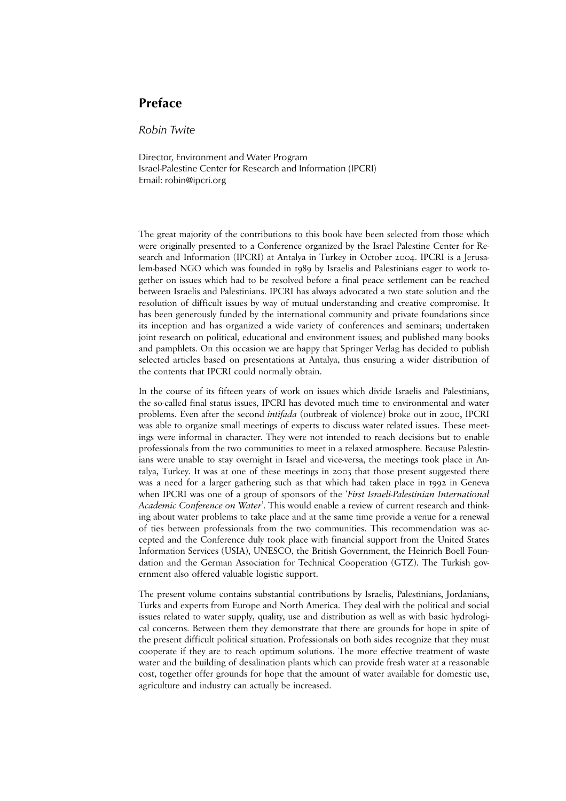## **Preface**

*Robin Twite*

Director, Environment and Water Program Israel-Palestine Center for Research and Information (IPCRI) Email: robin@ipcri.org

The great majority of the contributions to this book have been selected from those which were originally presented to a Conference organized by the Israel Palestine Center for Research and Information (IPCRI) at Antalya in Turkey in October 2004. IPCRI is a Jerusalem-based NGO which was founded in 1989 by Israelis and Palestinians eager to work together on issues which had to be resolved before a final peace settlement can be reached between Israelis and Palestinians. IPCRI has always advocated a two state solution and the resolution of difficult issues by way of mutual understanding and creative compromise. It has been generously funded by the international community and private foundations since its inception and has organized a wide variety of conferences and seminars; undertaken joint research on political, educational and environment issues; and published many books and pamphlets. On this occasion we are happy that Springer Verlag has decided to publish selected articles based on presentations at Antalya, thus ensuring a wider distribution of the contents that IPCRI could normally obtain.

In the course of its fifteen years of work on issues which divide Israelis and Palestinians, the so-called final status issues, IPCRI has devoted much time to environmental and water problems. Even after the second *intifada* (outbreak of violence) broke out in 2000, IPCRI was able to organize small meetings of experts to discuss water related issues. These meetings were informal in character. They were not intended to reach decisions but to enable professionals from the two communities to meet in a relaxed atmosphere. Because Palestinians were unable to stay overnight in Israel and vice-versa, the meetings took place in Antalya, Turkey. It was at one of these meetings in 2003 that those present suggested there was a need for a larger gathering such as that which had taken place in 1992 in Geneva when IPCRI was one of a group of sponsors of the '*First Israeli-Palestinian International Academic Conference on Water*'. This would enable a review of current research and thinking about water problems to take place and at the same time provide a venue for a renewal of ties between professionals from the two communities. This recommendation was accepted and the Conference duly took place with financial support from the United States Information Services (USIA), UNESCO, the British Government, the Heinrich Boell Foundation and the German Association for Technical Cooperation (GTZ). The Turkish government also offered valuable logistic support.

The present volume contains substantial contributions by Israelis, Palestinians, Jordanians, Turks and experts from Europe and North America. They deal with the political and social issues related to water supply, quality, use and distribution as well as with basic hydrological concerns. Between them they demonstrate that there are grounds for hope in spite of the present difficult political situation. Professionals on both sides recognize that they must cooperate if they are to reach optimum solutions. The more effective treatment of waste water and the building of desalination plants which can provide fresh water at a reasonable cost, together offer grounds for hope that the amount of water available for domestic use, agriculture and industry can actually be increased.